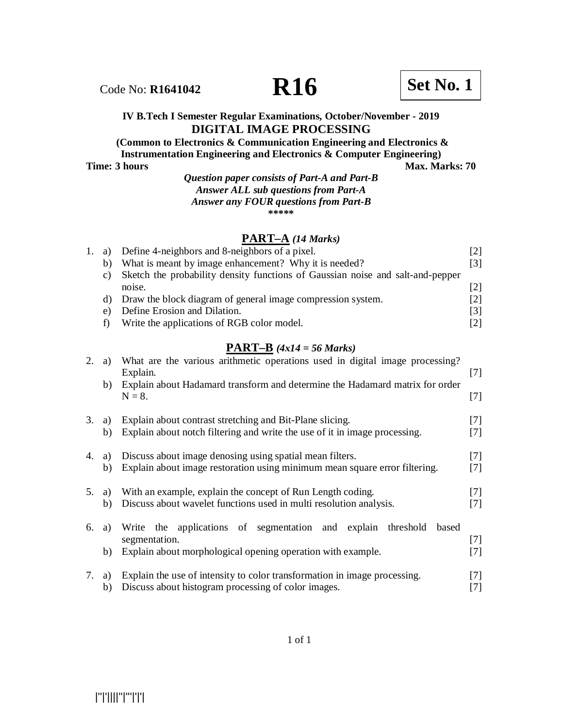Code No: **R1641042 R16 R16 Set No. 1** 

## **(Common to Electronics & Communication Engineering and Electronics & Instrumentation Engineering and Electronics & Computer Engineering)**

**Time: 3 hours Max. Marks: 70** 

## *Question paper consists of Part-A and Part-B Answer ALL sub questions from Part-A Answer any FOUR questions from Part-B* **\*\*\*\*\***

# **PART–A** *(14 Marks)*

|    | 1. a) Define 4-neighbors and 8-neighbors of a pixel.                           | [2] |
|----|--------------------------------------------------------------------------------|-----|
| b) | What is meant by image enhancement? Why it is needed?                          | [3] |
| C) | Sketch the probability density functions of Gaussian noise and salt-and-pepper |     |
|    | noise.                                                                         | [2] |
|    | d) Draw the block diagram of general image compression system.                 | [2] |
| e) | Define Erosion and Dilation.                                                   | [3] |
|    | Write the applications of RGB color model.                                     | [2] |
|    |                                                                                |     |

# **PART–B** *(4x14 = 56 Marks)*

| 2. | a)       | What are the various arithmetic operations used in digital image processing?<br>Explain.                                                              | $[7]$          |
|----|----------|-------------------------------------------------------------------------------------------------------------------------------------------------------|----------------|
|    | b)       | Explain about Hadamard transform and determine the Hadamard matrix for order<br>$N = 8$ .                                                             | $[7]$          |
| 3. | a)       | Explain about contrast stretching and Bit-Plane slicing.                                                                                              | 171            |
|    | b)       | Explain about notch filtering and write the use of it in image processing.                                                                            | 171            |
| 4. | a)       | Discuss about image denosing using spatial mean filters.                                                                                              | $[7]$          |
|    | b)       | Explain about image restoration using minimum mean square error filtering.                                                                            | $[7]$          |
| 5. | a)       | With an example, explain the concept of Run Length coding.                                                                                            | $[7]$          |
|    | b)       | Discuss about wavelet functions used in multi resolution analysis.                                                                                    | $[7]$          |
| 6. | a)<br>b) | Write the applications of segmentation and explain threshold<br>based<br>segmentation.<br>Explain about morphological opening operation with example. | $[7]$<br>$[7]$ |
| 7. | a)       | Explain the use of intensity to color transformation in image processing.                                                                             | 171            |
|    | b)       | Discuss about histogram processing of color images.                                                                                                   | [7]            |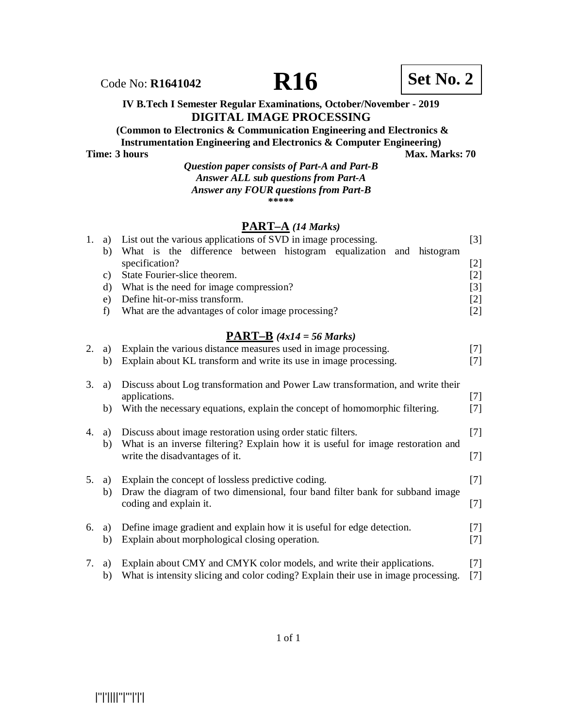Code No: **R1641042 R16 Set No. 2**

**(Common to Electronics & Communication Engineering and Electronics & Instrumentation Engineering and Electronics & Computer Engineering)**

**Time: 3 hours Max. Marks: 70** 

#### *Question paper consists of Part-A and Part-B Answer ALL sub questions from Part-A Answer any FOUR questions from Part-B* **\*\*\*\*\***

# **PART–A** *(14 Marks)*

| 1. | a) | List out the various applications of SVD in image processing.                  | $[3]$                                                                                                                                                                                                         |
|----|----|--------------------------------------------------------------------------------|---------------------------------------------------------------------------------------------------------------------------------------------------------------------------------------------------------------|
|    | b) | What is the difference between histogram equalization and histogram            |                                                                                                                                                                                                               |
|    |    | specification?                                                                 | $[2]$                                                                                                                                                                                                         |
|    | C) | State Fourier-slice theorem.                                                   | $[2] % \includegraphics[width=0.9\columnwidth]{figures/fig_10.pdf} \caption{The 3D (black) model for the estimators in the left and right. The left and right is the same as in the right.} \label{fig:2}} %$ |
|    | d) | What is the need for image compression?                                        | [3]                                                                                                                                                                                                           |
|    | e) | Define hit-or-miss transform.                                                  | $[2]$                                                                                                                                                                                                         |
|    | f) | What are the advantages of color image processing?                             | $[2]$                                                                                                                                                                                                         |
|    |    |                                                                                |                                                                                                                                                                                                               |
|    |    | <b>PART-B</b> $(4x14 = 56 Marks)$                                              |                                                                                                                                                                                                               |
| 2. | a) | Explain the various distance measures used in image processing.                | $[7]$                                                                                                                                                                                                         |
|    | b) | Explain about KL transform and write its use in image processing.              | 171                                                                                                                                                                                                           |
|    |    |                                                                                |                                                                                                                                                                                                               |
| 3. | a) | Discuss about Log transformation and Power Law transformation, and write their |                                                                                                                                                                                                               |
|    |    | applications.                                                                  | $[7]$                                                                                                                                                                                                         |
|    | b) | With the necessary equations, explain the concept of homomorphic filtering.    | 171                                                                                                                                                                                                           |
| 4. | a) | Discuss about image restoration using order static filters.                    | l'/                                                                                                                                                                                                           |
|    |    |                                                                                |                                                                                                                                                                                                               |

# b) What is an inverse filtering? Explain how it is useful for image restoration and write the disadvantages of it. [7]

# 5. a) Explain the concept of lossless predictive coding. [7] b) Draw the diagram of two dimensional, four band filter bank for subband image coding and explain it. [7] 6. a) Define image gradient and explain how it is useful for edge detection. [7] b) Explain about morphological closing operation. [7]

7. a) Explain about CMY and CMYK color models, and write their applications. [7] b) What is intensity slicing and color coding? Explain their use in image processing. [7]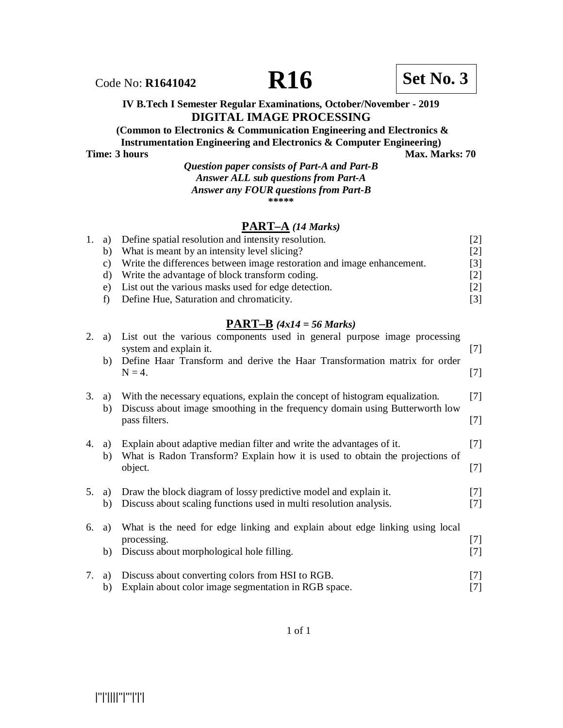

Code No: **R1641042 R16 R16 Set No. 3** 

**(Common to Electronics & Communication Engineering and Electronics & Instrumentation Engineering and Electronics & Computer Engineering)**

**Time: 3 hours Max. Marks: 70** 

## *Question paper consists of Part-A and Part-B Answer ALL sub questions from Part-A Answer any FOUR questions from Part-B* **\*\*\*\*\***

# **PART–A** *(14 Marks)*

|       | 1. a) Define spatial resolution and intensity resolution.              | [2]               |
|-------|------------------------------------------------------------------------|-------------------|
| b)    | What is meant by an intensity level slicing?                           | $\lceil 2 \rceil$ |
| C)    | Write the differences between image restoration and image enhancement. | $\lceil 3 \rceil$ |
| d)    | Write the advantage of block transform coding.                         | $\lceil 2 \rceil$ |
| $e$ ) | List out the various masks used for edge detection.                    | 2                 |
|       | Define Hue, Saturation and chromaticity.                               | $\lceil 3 \rceil$ |

## **PART–B** *(4x14 = 56 Marks)*

| 2. | a)       | List out the various components used in general purpose image processing<br>system and explain it.                                                          | $[7]$          |
|----|----------|-------------------------------------------------------------------------------------------------------------------------------------------------------------|----------------|
|    | b)       | Define Haar Transform and derive the Haar Transformation matrix for order<br>$N = 4$ .                                                                      | $[7]$          |
| 3. | a)<br>b) | With the necessary equations, explain the concept of histogram equalization.<br>Discuss about image smoothing in the frequency domain using Butterworth low | $[7]$          |
|    |          | pass filters.                                                                                                                                               | $[7]$          |
| 4. | a)<br>b) | Explain about adaptive median filter and write the advantages of it.<br>What is Radon Transform? Explain how it is used to obtain the projections of        | $[7]$          |
|    |          | object.                                                                                                                                                     | $[7]$          |
| 5. | a)<br>b) | Draw the block diagram of lossy predictive model and explain it.<br>Discuss about scaling functions used in multi resolution analysis.                      | $[7]$<br>$[7]$ |
| 6. | a)       | What is the need for edge linking and explain about edge linking using local                                                                                |                |
|    |          | processing.                                                                                                                                                 | $[7]$          |
|    | b)       | Discuss about morphological hole filling.                                                                                                                   | $[7]$          |
| 7. | a)       | Discuss about converting colors from HSI to RGB.                                                                                                            | $[7]$          |
|    | b)       | Explain about color image segmentation in RGB space.                                                                                                        | [7]            |